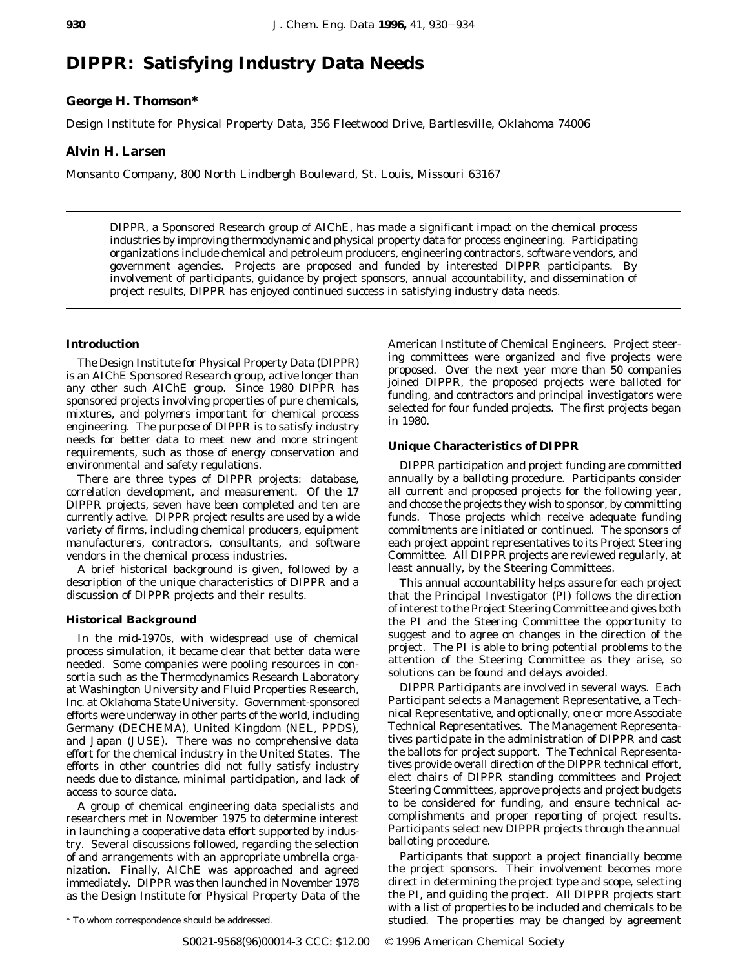# **DIPPR: Satisfying Industry Data Needs**

# **George H. Thomson\***

Design Institute for Physical Property Data, 356 Fleetwood Drive, Bartlesville, Oklahoma 74006

## **Alvin H. Larsen**

Monsanto Company, 800 North Lindbergh Boulevard, St. Louis, Missouri 63167

DIPPR, a Sponsored Research group of AIChE, has made a significant impact on the chemical process industries by improving thermodynamic and physical property data for process engineering. Participating organizations include chemical and petroleum producers, engineering contractors, software vendors, and government agencies. Projects are proposed and funded by interested DIPPR participants. By involvement of participants, guidance by project sponsors, annual accountability, and dissemination of project results, DIPPR has enjoyed continued success in satisfying industry data needs.

## **Introduction**

The Design Institute for Physical Property Data (DIPPR) is an AIChE Sponsored Research group, active longer than any other such AIChE group. Since 1980 DIPPR has sponsored projects involving properties of pure chemicals, mixtures, and polymers important for chemical process engineering. The purpose of DIPPR is to satisfy industry needs for better data to meet new and more stringent requirements, such as those of energy conservation and environmental and safety regulations.

There are three types of DIPPR projects: database, correlation development, and measurement. Of the 17 DIPPR projects, seven have been completed and ten are currently active. DIPPR project results are used by a wide variety of firms, including chemical producers, equipment manufacturers, contractors, consultants, and software vendors in the chemical process industries.

A brief historical background is given, followed by a description of the unique characteristics of DIPPR and a discussion of DIPPR projects and their results.

## **Historical Background**

In the mid-1970s, with widespread use of chemical process simulation, it became clear that better data were needed. Some companies were pooling resources in consortia such as the Thermodynamics Research Laboratory at Washington University and Fluid Properties Research, Inc. at Oklahoma State University. Government-sponsored efforts were underway in other parts of the world, including Germany (DECHEMA), United Kingdom (NEL, PPDS), and Japan (JUSE). There was no comprehensive data effort for the chemical industry in the United States. The efforts in other countries did not fully satisfy industry needs due to distance, minimal participation, and lack of access to source data.

A group of chemical engineering data specialists and researchers met in November 1975 to determine interest in launching a cooperative data effort supported by industry. Several discussions followed, regarding the selection of and arrangements with an appropriate umbrella organization. Finally, AIChE was approached and agreed immediately. DIPPR was then launched in November 1978 as the Design Institute for Physical Property Data of the

American Institute of Chemical Engineers. Project steering committees were organized and five projects were proposed. Over the next year more than 50 companies joined DIPPR, the proposed projects were balloted for funding, and contractors and principal investigators were selected for four funded projects. The first projects began in 1980.

### **Unique Characteristics of DIPPR**

DIPPR participation and project funding are committed annually by a balloting procedure. Participants consider all current and proposed projects for the following year, and choose the projects they wish to sponsor, by committing funds. Those projects which receive adequate funding commitments are initiated or continued. The sponsors of each project appoint representatives to its Project Steering Committee. All DIPPR projects are reviewed regularly, at least annually, by the Steering Committees.

This annual accountability helps assure for each project that the Principal Investigator (PI) follows the direction of interest to the Project Steering Committee and gives both the PI and the Steering Committee the opportunity to suggest and to agree on changes in the direction of the project. The PI is able to bring potential problems to the attention of the Steering Committee as they arise, so solutions can be found and delays avoided.

DIPPR Participants are involved in several ways. Each Participant selects a Management Representative, a Technical Representative, and optionally, one or more Associate Technical Representatives. The Management Representatives participate in the administration of DIPPR and cast the ballots for project support. The Technical Representatives provide overall direction of the DIPPR technical effort, elect chairs of DIPPR standing committees and Project Steering Committees, approve projects and project budgets to be considered for funding, and ensure technical accomplishments and proper reporting of project results. Participants select new DIPPR projects through the annual balloting procedure.

Participants that support a project financially become the project sponsors. Their involvement becomes more direct in determining the project type and scope, selecting the PI, and guiding the project. All DIPPR projects start with a list of properties to be included and chemicals to be \* To whom correspondence should be addressed. studied. The properties may be changed by agreement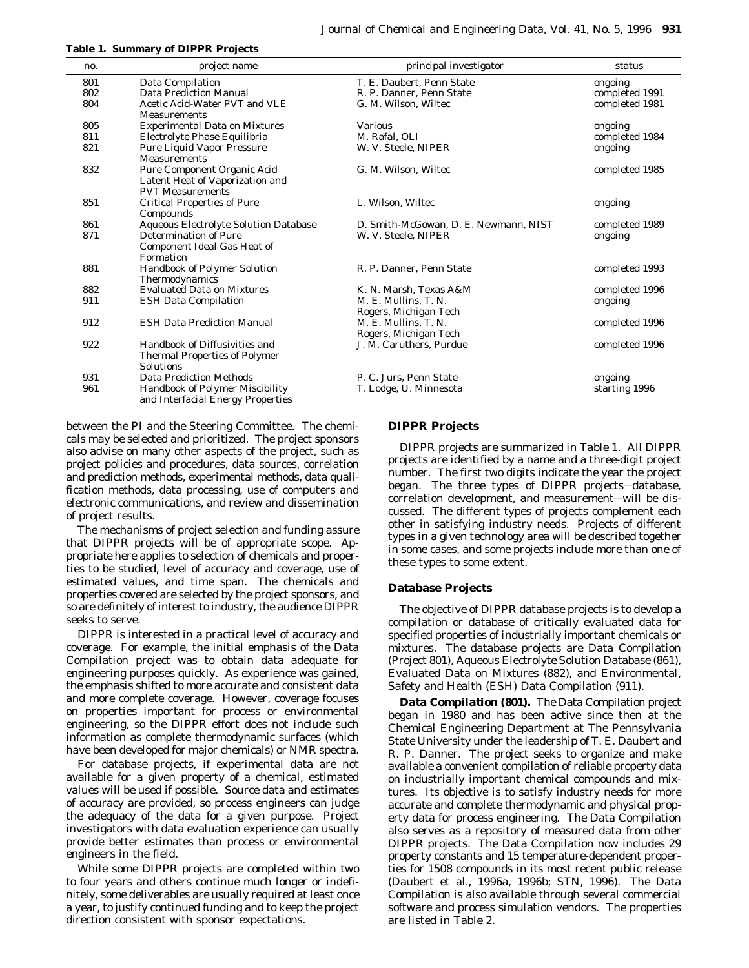| <b>Table 1. Summary of DIPPR Projects</b> |  |
|-------------------------------------------|--|
|-------------------------------------------|--|

| no. | project name                                 | principal investigator                | status         |
|-----|----------------------------------------------|---------------------------------------|----------------|
| 801 | Data Compilation                             | T. E. Daubert, Penn State             | ongoing        |
| 802 | Data Prediction Manual                       | R. P. Danner, Penn State              | completed 1991 |
| 804 | Acetic Acid-Water PVT and VLE                | G. M. Wilson. Wiltec                  | completed 1981 |
|     | <b>Measurements</b>                          |                                       |                |
| 805 | <b>Experimental Data on Mixtures</b>         | <b>Various</b>                        | ongoing        |
| 811 | Electrolyte Phase Equilibria                 | M. Rafal, OLI                         | completed 1984 |
| 821 | <b>Pure Liquid Vapor Pressure</b>            | W. V. Steele, NIPER                   | ongoing        |
|     | <b>Measurements</b>                          |                                       |                |
| 832 | Pure Component Organic Acid                  | G. M. Wilson, Wiltec                  | completed 1985 |
|     | Latent Heat of Vaporization and              |                                       |                |
|     | <b>PVT Measurements</b>                      |                                       |                |
| 851 | <b>Critical Properties of Pure</b>           | L. Wilson. Wiltec                     | ongoing        |
|     | Compounds                                    |                                       |                |
| 861 | <b>Aqueous Electrolyte Solution Database</b> | D. Smith-McGowan, D. E. Newmann, NIST | completed 1989 |
| 871 | <b>Determination of Pure</b>                 | W. V. Steele, NIPER                   | ongoing        |
|     | <b>Component Ideal Gas Heat of</b>           |                                       |                |
|     | Formation                                    |                                       |                |
| 881 | <b>Handbook of Polymer Solution</b>          | R. P. Danner. Penn State              | completed 1993 |
|     | Thermodynamics                               |                                       |                |
| 882 | <b>Evaluated Data on Mixtures</b>            | K. N. Marsh, Texas A&M                | completed 1996 |
| 911 | <b>ESH Data Compilation</b>                  | M. E. Mullins, T. N.                  | ongoing        |
|     |                                              | Rogers, Michigan Tech                 |                |
| 912 | <b>ESH Data Prediction Manual</b>            | M. E. Mullins. T. N.                  | completed 1996 |
|     |                                              | Rogers, Michigan Tech                 |                |
| 922 | <b>Handbook of Diffusivities and</b>         | J. M. Caruthers, Purdue               | completed 1996 |
|     | <b>Thermal Properties of Polymer</b>         |                                       |                |
|     | <b>Solutions</b>                             |                                       |                |
| 931 | <b>Data Prediction Methods</b>               | P. C. Jurs. Penn State                | ongoing        |
| 961 | Handbook of Polymer Miscibility              | T. Lodge, U. Minnesota                | starting 1996  |
|     | and Interfacial Energy Properties            |                                       |                |

between the PI and the Steering Committee. The chemicals may be selected and prioritized. The project sponsors also advise on many other aspects of the project, such as project policies and procedures, data sources, correlation and prediction methods, experimental methods, data qualification methods, data processing, use of computers and electronic communications, and review and dissemination of project results.

The mechanisms of project selection and funding assure that DIPPR projects will be of appropriate scope. *Appropriate* here applies to selection of chemicals and properties to be studied, level of accuracy and coverage, use of estimated values, and time span. The chemicals and properties covered are selected by the project sponsors, and so are definitely of interest to industry, the audience DIPPR seeks to serve.

DIPPR is interested in a practical level of accuracy and coverage. For example, the initial emphasis of the Data Compilation project was to obtain data adequate for engineering purposes quickly. As experience was gained, the emphasis shifted to more accurate and consistent data and more complete coverage. However, coverage focuses on properties important for process or environmental engineering, so the DIPPR effort does not include such information as complete thermodynamic surfaces (which have been developed for major chemicals) or NMR spectra.

For database projects, if experimental data are not available for a given property of a chemical, estimated values will be used if possible. Source data and estimates of accuracy are provided, so process engineers can judge the adequacy of the data for a given purpose. Project investigators with data evaluation experience can usually provide better estimates than process or environmental engineers in the field.

While some DIPPR projects are completed within two to four years and others continue much longer or indefinitely, some deliverables are usually required at least once a year, to justify continued funding and to keep the project direction consistent with sponsor expectations.

## **DIPPR Projects**

DIPPR projects are summarized in Table 1. All DIPPR projects are identified by a name and a three-digit project number. The first two digits indicate the year the project began. The three types of DIPPR projects-database, correlation development, and measurement-will be discussed. The different types of projects complement each other in satisfying industry needs. Projects of different types in a given technology area will be described together in some cases, and some projects include more than one of these types to some extent.

## **Database Projects**

The objective of DIPPR database projects is to develop a compilation or database of critically evaluated data for specified properties of industrially important chemicals or mixtures. The database projects are Data Compilation (Project 801), Aqueous Electrolyte Solution Database (861), Evaluated Data on Mixtures (882), and Environmental, Safety and Health (ESH) Data Compilation (911).

*Data Compilation (801).* The Data Compilation project began in 1980 and has been active since then at the Chemical Engineering Department at The Pennsylvania State University under the leadership of T. E. Daubert and R. P. Danner. The project seeks to organize and make available a convenient compilation of reliable property data on industrially important chemical compounds and mixtures. Its objective is to satisfy industry needs for more accurate and complete thermodynamic and physical property data for process engineering. The Data Compilation also serves as a repository of measured data from other DIPPR projects. The Data Compilation now includes 29 property constants and 15 temperature-dependent properties for 1508 compounds in its most recent public release (Daubert et al., 1996a, 1996b; STN, 1996). The Data Compilation is also available through several commercial software and process simulation vendors. The properties are listed in Table 2.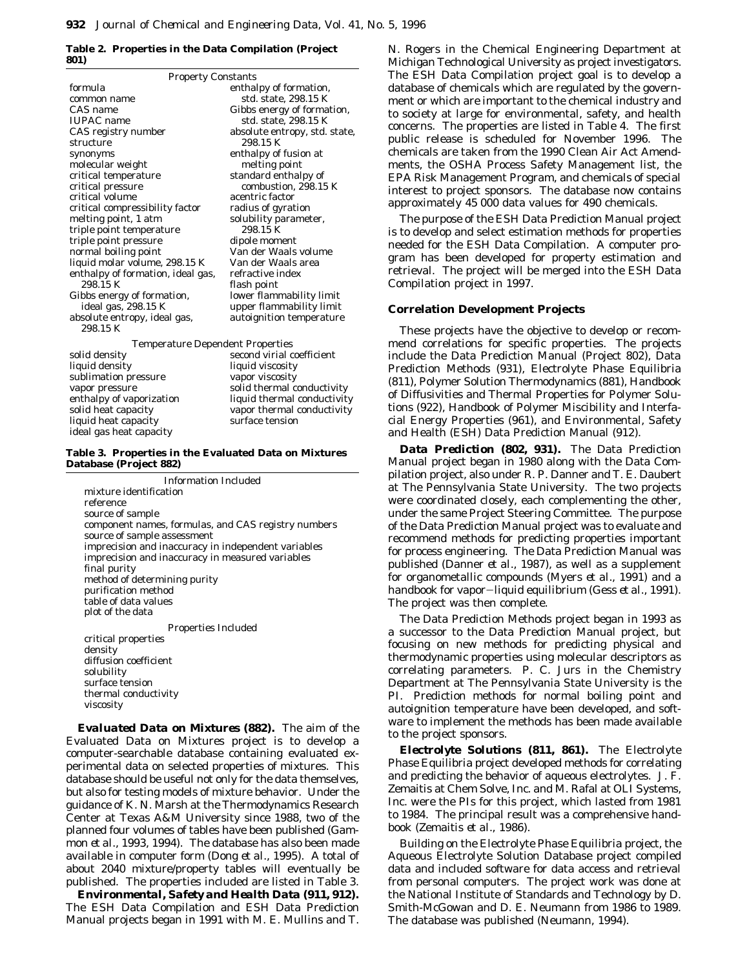### **Table 2. Properties in the Data Compilation (Project 801)**

| <b>Property Constants</b>               |                               |  |  |  |
|-----------------------------------------|-------------------------------|--|--|--|
| formula                                 | enthalpy of formation,        |  |  |  |
| common name                             | std. state, 298.15 K          |  |  |  |
| CAS name                                | Gibbs energy of formation,    |  |  |  |
| <b>IUPAC</b> name                       | std. state, 298.15 K          |  |  |  |
| CAS registry number                     | absolute entropy, std. state, |  |  |  |
| structure                               | 298.15 K                      |  |  |  |
| synonyms                                | enthalpy of fusion at         |  |  |  |
| molecular weight                        | melting point                 |  |  |  |
| critical temperature                    | standard enthalpy of          |  |  |  |
| critical pressure                       | combustion, 298.15 K          |  |  |  |
| critical volume                         | acentric factor               |  |  |  |
| critical compressibility factor         | radius of gyration            |  |  |  |
| melting point, 1 atm                    | solubility parameter,         |  |  |  |
| triple point temperature                | 298.15 K                      |  |  |  |
| triple point pressure                   | dipole moment                 |  |  |  |
| normal boiling point                    | Van der Waals volume          |  |  |  |
| liquid molar volume, 298.15 K           | Van der Waals area            |  |  |  |
| enthalpy of formation, ideal gas,       | refractive index              |  |  |  |
| 298.15 K                                | flash point                   |  |  |  |
| Gibbs energy of formation,              | lower flammability limit      |  |  |  |
| ideal gas, 298.15 K                     | upper flammability limit      |  |  |  |
| absolute entropy, ideal gas,            | autoignition temperature      |  |  |  |
| 298.15 K                                |                               |  |  |  |
| <b>Temperature Dependent Properties</b> |                               |  |  |  |
| solid density                           | second virial coefficient     |  |  |  |
| liquid density                          | liauid viscositv              |  |  |  |

sublimation pressure vapor viscosity vapor pressure solid thermal conductivity liquid heat capacity surface tension ideal gas heat capacity

enthalpy of vaporization liquid thermal conductivity solid heat capacity vapor thermal conductivity

**Table 3. Properties in the Evaluated Data on Mixtures Database (Project 882)**

Information Included mixture identification reference source of sample component names, formulas, and CAS registry numbers source of sample assessment imprecision and inaccuracy in independent variables imprecision and inaccuracy in measured variables final purity method of determining purity purification method table of data values plot of the data Properties Included critical properties density diffusion coefficient solubility surface tension thermal conductivity viscosity

*Evaluated Data on Mixtures (882).* The aim of the Evaluated Data on Mixtures project is to develop a computer-searchable database containing evaluated experimental data on selected properties of mixtures. This database should be useful not only for the data themselves, but also for testing models of mixture behavior. Under the guidance of K. N. Marsh at the Thermodynamics Research Center at Texas A&M University since 1988, two of the planned four volumes of tables have been published (Gammon *et al.*, 1993, 1994). The database has also been made available in computer form (Dong *et al.*, 1995). A total of about 2040 mixture/property tables will eventually be published. The properties included are listed in Table 3.

*Environmental, Safety and Health Data (911, 912).* The ESH Data Compilation and ESH Data Prediction Manual projects began in 1991 with M. E. Mullins and T. N. Rogers in the Chemical Engineering Department at Michigan Technological University as project investigators. The ESH Data Compilation project goal is to develop a database of chemicals which are regulated by the government or which are important to the chemical industry and to society at large for environmental, safety, and health concerns. The properties are listed in Table 4. The first public release is scheduled for November 1996. The chemicals are taken from the 1990 Clean Air Act Amendments, the OSHA Process Safety Management list, the EPA Risk Management Program, and chemicals of special interest to project sponsors. The database now contains approximately 45 000 data values for 490 chemicals.

The purpose of the ESH Data Prediction Manual project is to develop and select estimation methods for properties needed for the ESH Data Compilation. A computer program has been developed for property estimation and retrieval. The project will be merged into the ESH Data Compilation project in 1997.

## **Correlation Development Projects**

These projects have the objective to develop or recommend correlations for specific properties. The projects include the Data Prediction Manual (Project 802), Data Prediction Methods (931), Electrolyte Phase Equilibria (811), Polymer Solution Thermodynamics (881), Handbook of Diffusivities and Thermal Properties for Polymer Solutions (922), Handbook of Polymer Miscibility and Interfacial Energy Properties (961), and Environmental, Safety and Health (ESH) Data Prediction Manual (912).

*Data Prediction (802, 931).* The Data Prediction Manual project began in 1980 along with the Data Compilation project, also under R. P. Danner and T. E. Daubert at The Pennsylvania State University. The two projects were coordinated closely, each complementing the other, under the same Project Steering Committee. The purpose of the Data Prediction Manual project was to evaluate and recommend methods for predicting properties important for process engineering. The Data Prediction Manual was published (Danner *et al.*, 1987), as well as a supplement for organometallic compounds (Myers *et al.*, 1991) and a handbook for vapor-liquid equilibrium (Gess *et al.*, 1991). The project was then complete.

The Data Prediction Methods project began in 1993 as a successor to the Data Prediction Manual project, but focusing on new methods for predicting physical and thermodynamic properties using molecular descriptors as correlating parameters. P. C. Jurs in the Chemistry Department at The Pennsylvania State University is the PI. Prediction methods for normal boiling point and autoignition temperature have been developed, and software to implement the methods has been made available to the project sponsors.

*Electrolyte Solutions (811, 861).* The Electrolyte Phase Equilibria project developed methods for correlating and predicting the behavior of aqueous electrolytes. J. F. Zemaitis at Chem Solve, Inc. and M. Rafal at OLI Systems, Inc. were the PIs for this project, which lasted from 1981 to 1984. The principal result was a comprehensive handbook (Zemaitis *et al.*, 1986).

Building on the Electrolyte Phase Equilibria project, the Aqueous Electrolyte Solution Database project compiled data and included software for data access and retrieval from personal computers. The project work was done at the National Institute of Standards and Technology by D. Smith-McGowan and D. E. Neumann from 1986 to 1989. The database was published (Neumann, 1994).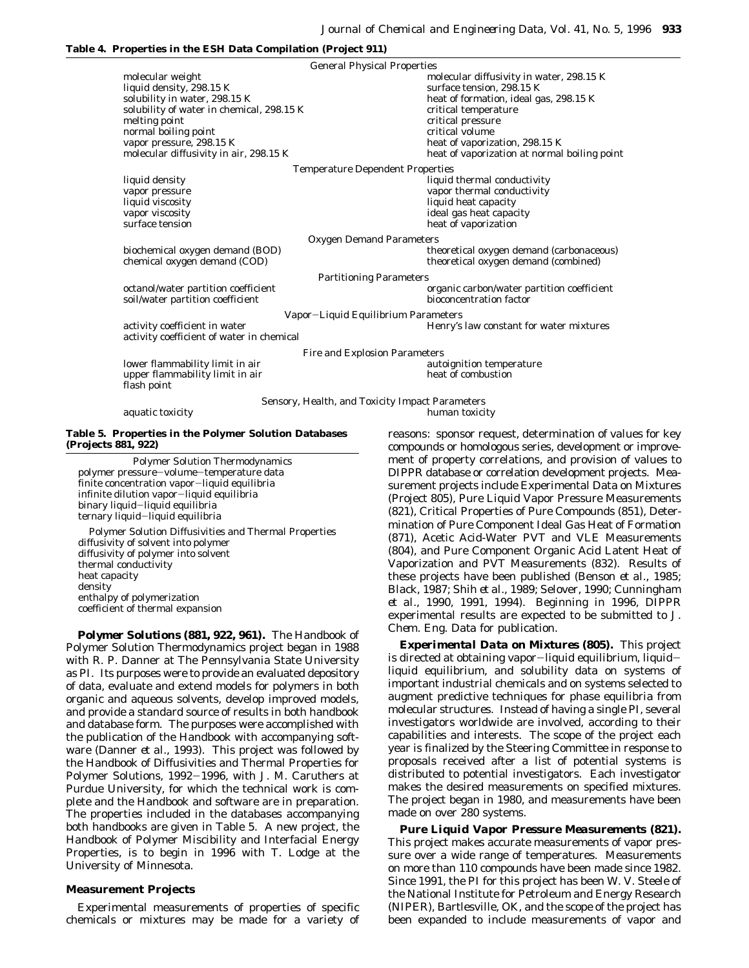### **Table 4. Properties in the ESH Data Compilation (Project 911)**

General Physical Properties molecular weight molecular weight molecular diffusivity in water, 298.15 K liquid density, 298.15 K surface tension, 298.15 K solubility in water, 298.15 K heat of formation, ideal gas, 298.15 K solubility of water in chemical,  $298.15 \text{ K}$  critical temperature melting point and the critical pressure critical pressure normal boiling point critical volume<br>vapor pressure, 298.15 K heat of vaporiz vapor pressure, 298.15 K<br>molecular diffusivity in air, 298.15 K<br>heat of vaporization at normal heat of vaporization at normal boiling point Temperature Dependent Properties liquid density liquid thermal conductivity vapor pressure vapor thermal conductivity liquid viscosity<br>
vapor viscosity<br>
vapor viscosity<br>
deal gas heat capac ideal gas heat capacity surface tension heat of vaporization heat of vaporization Oxygen Demand Parameters biochemical oxygen demand (BOD) theoretical oxygen demand (carbonaceous) chemical oxygen demand (COD) theoretical oxygen demand (combined) theoretical oxygen demand (combined) Partitioning Parameters octanol/water partition coefficient organic carbon/water partition coefficient soil/water partition coefficient bioconcentration factor Vapor-Liquid Equilibrium Parameters activity coefficient in water **Figure 1.1 Theory's law constant for water mixtures** activity coefficient of water in chemical Fire and Explosion Parameters lower flammability limit in air autoignition temperature upper flammability limit in air heat of combustion flash point Sensory, Health, and Toxicity Impact Parameters

aquatic toxicity **human** toxicity

**Table 5. Properties in the Polymer Solution Databases (Projects 881, 922)**

Polymer Solution Thermodynamics polymer pressure-volume-temperature data finite concentration vapor-liquid equilibria infinite dilution vapor-liquid equilibria binary liquid-liquid equilibria ternary liquid-liquid equilibria

Polymer Solution Diffusivities and Thermal Properties diffusivity of solvent into polymer diffusivity of polymer into solvent thermal conductivity heat capacity density enthalpy of polymerization coefficient of thermal expansion

*Polymer Solutions (881, 922, 961).* The Handbook of Polymer Solution Thermodynamics project began in 1988 with R. P. Danner at The Pennsylvania State University as PI. Its purposes were to provide an evaluated depository of data, evaluate and extend models for polymers in both organic and aqueous solvents, develop improved models, and provide a standard source of results in both handbook and database form. The purposes were accomplished with the publication of the Handbook with accompanying software (Danner *et al.*, 1993). This project was followed by the Handbook of Diffusivities and Thermal Properties for Polymer Solutions, 1992-1996, with J. M. Caruthers at Purdue University, for which the technical work is complete and the Handbook and software are in preparation. The properties included in the databases accompanying both handbooks are given in Table 5. A new project, the Handbook of Polymer Miscibility and Interfacial Energy Properties, is to begin in 1996 with T. Lodge at the University of Minnesota.

## **Measurement Projects**

Experimental measurements of properties of specific chemicals or mixtures may be made for a variety of reasons: sponsor request, determination of values for key compounds or homologous series, development or improvement of property correlations, and provision of values to DIPPR database or correlation development projects. Measurement projects include Experimental Data on Mixtures (Project 805), Pure Liquid Vapor Pressure Measurements (821), Critical Properties of Pure Compounds (851), Determination of Pure Component Ideal Gas Heat of Formation (871), Acetic Acid-Water PVT and VLE Measurements (804), and Pure Component Organic Acid Latent Heat of Vaporization and PVT Measurements (832). Results of these projects have been published (Benson *et al.*, 1985; Black, 1987; Shih *et al.*, 1989; Selover, 1990; Cunningham *et al.*, 1990, 1991, 1994). Beginning in 1996, DIPPR experimental results are expected to be submitted to *J. Chem. Eng. Data* for publication.

*Experimental Data on Mixtures (805).* This project is directed at obtaining vapor-liquid equilibrium, liquidliquid equilibrium, and solubility data on systems of important industrial chemicals and on systems selected to augment predictive techniques for phase equilibria from molecular structures. Instead of having a single PI, several investigators worldwide are involved, according to their capabilities and interests. The scope of the project each year is finalized by the Steering Committee in response to proposals received after a list of potential systems is distributed to potential investigators. Each investigator makes the desired measurements on specified mixtures. The project began in 1980, and measurements have been made on over 280 systems.

*Pure Liquid Vapor Pressure Measurements (821).* This project makes accurate measurements of vapor pressure over a wide range of temperatures. Measurements on more than 110 compounds have been made since 1982. Since 1991, the PI for this project has been W. V. Steele of the National Institute for Petroleum and Energy Research (NIPER), Bartlesville, OK, and the scope of the project has been expanded to include measurements of vapor and